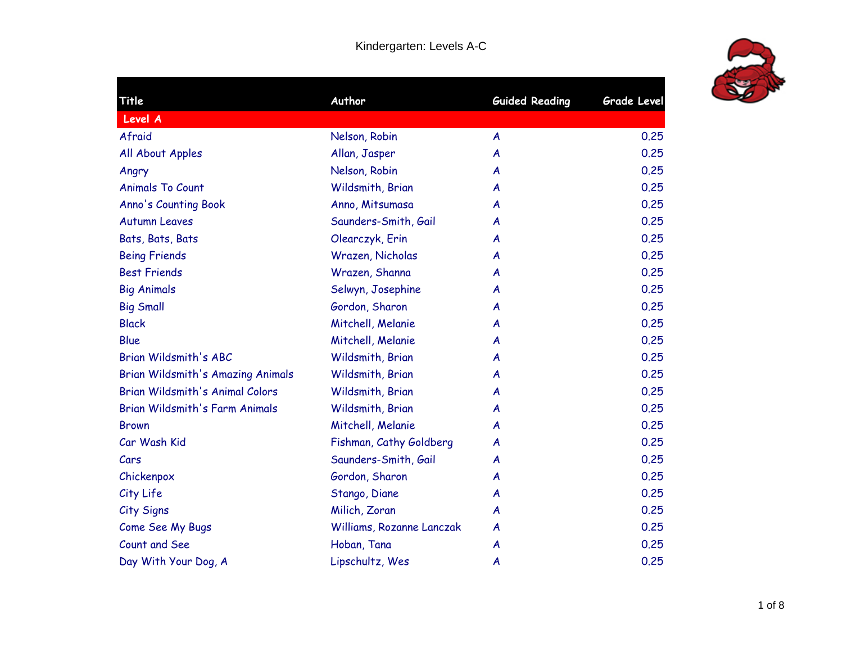

| Title                                    | Author                    | <b>Guided Reading</b> | <b>Grade Level</b> |
|------------------------------------------|---------------------------|-----------------------|--------------------|
| Level A                                  |                           |                       |                    |
| Afraid                                   | Nelson, Robin             | $\boldsymbol{A}$      | 0.25               |
| All About Apples                         | Allan, Jasper             | A                     | 0.25               |
| Angry                                    | Nelson, Robin             | A                     | 0.25               |
| <b>Animals To Count</b>                  | Wildsmith, Brian          | A                     | 0.25               |
| Anno's Counting Book                     | Anno, Mitsumasa           | A                     | 0.25               |
| <b>Autumn Leaves</b>                     | Saunders-Smith, Gail      | A                     | 0.25               |
| Bats, Bats, Bats                         | Olearczyk, Erin           | A                     | 0.25               |
| <b>Being Friends</b>                     | Wrazen, Nicholas          | A                     | 0.25               |
| <b>Best Friends</b>                      | Wrazen, Shanna            | A                     | 0.25               |
| <b>Big Animals</b>                       | Selwyn, Josephine         | A                     | 0.25               |
| <b>Big Small</b>                         | Gordon, Sharon            | A                     | 0.25               |
| <b>Black</b>                             | Mitchell, Melanie         | A                     | 0.25               |
| <b>Blue</b>                              | Mitchell, Melanie         | A                     | 0.25               |
| <b>Brian Wildsmith's ABC</b>             | Wildsmith, Brian          | A                     | 0.25               |
| <b>Brian Wildsmith's Amazing Animals</b> | Wildsmith, Brian          | A                     | 0.25               |
| Brian Wildsmith's Animal Colors          | Wildsmith, Brian          | A                     | 0.25               |
| Brian Wildsmith's Farm Animals           | Wildsmith, Brian          | A                     | 0.25               |
| <b>Brown</b>                             | Mitchell, Melanie         | A                     | 0.25               |
| Car Wash Kid                             | Fishman, Cathy Goldberg   | A                     | 0.25               |
| Cars                                     | Saunders-Smith, Gail      | A                     | 0.25               |
| Chickenpox                               | Gordon, Sharon            | A                     | 0.25               |
| City Life                                | Stango, Diane             | A                     | 0.25               |
| City Signs                               | Milich, Zoran             | A                     | 0.25               |
| Come See My Bugs                         | Williams, Rozanne Lanczak | A                     | 0.25               |
| Count and See                            | Hoban, Tana               | A                     | 0.25               |
| Day With Your Dog, A                     | Lipschultz, Wes           | A                     | 0.25               |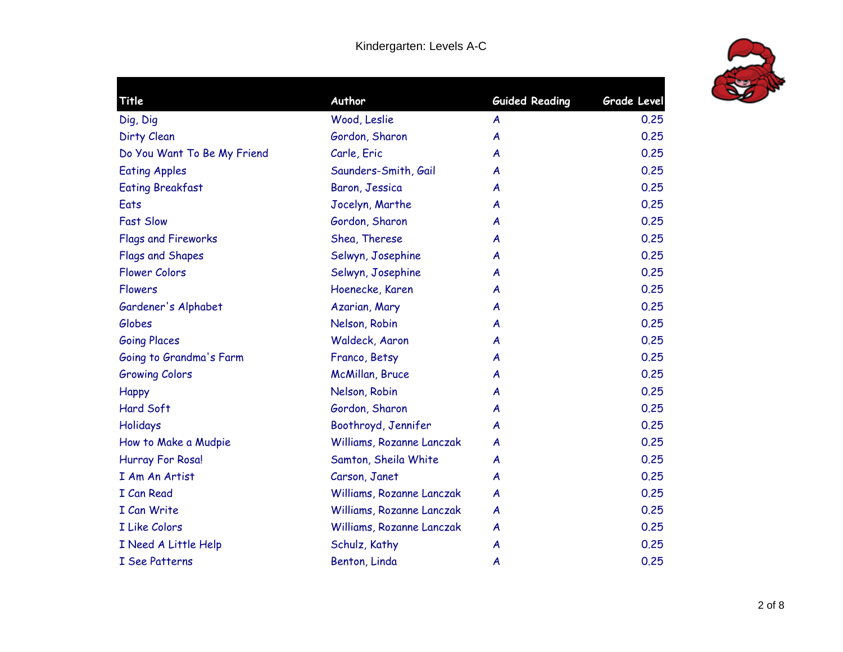

| Author<br><b>Guided Reading</b><br>Title<br>Wood, Leslie<br>Dig, Dig<br>A<br>Dirty Clean<br>Gordon, Sharon<br>$\boldsymbol{A}$<br>Carle, Eric<br>Do You Want To Be My Friend<br>A<br>Saunders-Smith, Gail<br><b>Eating Apples</b><br>A<br>Baron, Jessica<br><b>Eating Breakfast</b><br>A<br>Eats<br>Jocelyn, Marthe<br>A<br><b>Fast Slow</b><br>Gordon, Sharon<br>A<br>Shea, Therese<br><b>Flags and Fireworks</b><br>A<br>Selwyn, Josephine<br>Flags and Shapes<br>A<br>Flower Colors<br>Selwyn, Josephine<br>A<br><b>Flowers</b><br>Hoenecke, Karen<br>A<br>Gardener's Alphabet<br>Azarian, Mary<br>A<br>Nelson, Robin<br>Globes<br>A<br><b>Going Places</b><br>Waldeck, Aaron<br>A<br>Going to Grandma's Farm<br>Franco, Betsy<br>A<br>McMillan, Bruce<br><b>Growing Colors</b><br>A<br>Nelson, Robin<br><b>Happy</b><br>A<br>Hard Soft<br>Gordon, Sharon<br>A<br>Boothroyd, Jennifer<br>Holidays<br>A<br>Williams, Rozanne Lanczak<br>How to Make a Mudpie<br>A<br>Hurray For Rosa!<br>Samton, Sheila White<br>A | Grade Level |
|----------------------------------------------------------------------------------------------------------------------------------------------------------------------------------------------------------------------------------------------------------------------------------------------------------------------------------------------------------------------------------------------------------------------------------------------------------------------------------------------------------------------------------------------------------------------------------------------------------------------------------------------------------------------------------------------------------------------------------------------------------------------------------------------------------------------------------------------------------------------------------------------------------------------------------------------------------------------------------------------------------------------|-------------|
|                                                                                                                                                                                                                                                                                                                                                                                                                                                                                                                                                                                                                                                                                                                                                                                                                                                                                                                                                                                                                      | 0.25        |
|                                                                                                                                                                                                                                                                                                                                                                                                                                                                                                                                                                                                                                                                                                                                                                                                                                                                                                                                                                                                                      | 0.25        |
|                                                                                                                                                                                                                                                                                                                                                                                                                                                                                                                                                                                                                                                                                                                                                                                                                                                                                                                                                                                                                      | 0.25        |
|                                                                                                                                                                                                                                                                                                                                                                                                                                                                                                                                                                                                                                                                                                                                                                                                                                                                                                                                                                                                                      | 0.25        |
|                                                                                                                                                                                                                                                                                                                                                                                                                                                                                                                                                                                                                                                                                                                                                                                                                                                                                                                                                                                                                      | 0.25        |
|                                                                                                                                                                                                                                                                                                                                                                                                                                                                                                                                                                                                                                                                                                                                                                                                                                                                                                                                                                                                                      | 0.25        |
|                                                                                                                                                                                                                                                                                                                                                                                                                                                                                                                                                                                                                                                                                                                                                                                                                                                                                                                                                                                                                      | 0.25        |
|                                                                                                                                                                                                                                                                                                                                                                                                                                                                                                                                                                                                                                                                                                                                                                                                                                                                                                                                                                                                                      | 0.25        |
|                                                                                                                                                                                                                                                                                                                                                                                                                                                                                                                                                                                                                                                                                                                                                                                                                                                                                                                                                                                                                      | 0.25        |
|                                                                                                                                                                                                                                                                                                                                                                                                                                                                                                                                                                                                                                                                                                                                                                                                                                                                                                                                                                                                                      | 0.25        |
|                                                                                                                                                                                                                                                                                                                                                                                                                                                                                                                                                                                                                                                                                                                                                                                                                                                                                                                                                                                                                      | 0.25        |
|                                                                                                                                                                                                                                                                                                                                                                                                                                                                                                                                                                                                                                                                                                                                                                                                                                                                                                                                                                                                                      | 0.25        |
|                                                                                                                                                                                                                                                                                                                                                                                                                                                                                                                                                                                                                                                                                                                                                                                                                                                                                                                                                                                                                      | 0.25        |
|                                                                                                                                                                                                                                                                                                                                                                                                                                                                                                                                                                                                                                                                                                                                                                                                                                                                                                                                                                                                                      | 0.25        |
|                                                                                                                                                                                                                                                                                                                                                                                                                                                                                                                                                                                                                                                                                                                                                                                                                                                                                                                                                                                                                      | 0.25        |
|                                                                                                                                                                                                                                                                                                                                                                                                                                                                                                                                                                                                                                                                                                                                                                                                                                                                                                                                                                                                                      | 0.25        |
|                                                                                                                                                                                                                                                                                                                                                                                                                                                                                                                                                                                                                                                                                                                                                                                                                                                                                                                                                                                                                      | 0.25        |
|                                                                                                                                                                                                                                                                                                                                                                                                                                                                                                                                                                                                                                                                                                                                                                                                                                                                                                                                                                                                                      | 0.25        |
|                                                                                                                                                                                                                                                                                                                                                                                                                                                                                                                                                                                                                                                                                                                                                                                                                                                                                                                                                                                                                      | 0.25        |
|                                                                                                                                                                                                                                                                                                                                                                                                                                                                                                                                                                                                                                                                                                                                                                                                                                                                                                                                                                                                                      | 0.25        |
|                                                                                                                                                                                                                                                                                                                                                                                                                                                                                                                                                                                                                                                                                                                                                                                                                                                                                                                                                                                                                      | 0.25        |
| I Am An Artist<br>Carson, Janet<br>A                                                                                                                                                                                                                                                                                                                                                                                                                                                                                                                                                                                                                                                                                                                                                                                                                                                                                                                                                                                 | 0.25        |
| <b>I</b> Can Read<br>Williams, Rozanne Lanczak<br>$\boldsymbol{A}$                                                                                                                                                                                                                                                                                                                                                                                                                                                                                                                                                                                                                                                                                                                                                                                                                                                                                                                                                   | 0.25        |
| I Can Write<br>Williams, Rozanne Lanczak<br>$\boldsymbol{A}$                                                                                                                                                                                                                                                                                                                                                                                                                                                                                                                                                                                                                                                                                                                                                                                                                                                                                                                                                         | 0.25        |
| I Like Colors<br>Williams, Rozanne Lanczak<br>$\boldsymbol{A}$                                                                                                                                                                                                                                                                                                                                                                                                                                                                                                                                                                                                                                                                                                                                                                                                                                                                                                                                                       | 0.25        |
| I Need A Little Help<br>Schulz, Kathy<br>A                                                                                                                                                                                                                                                                                                                                                                                                                                                                                                                                                                                                                                                                                                                                                                                                                                                                                                                                                                           | 0.25        |
| I See Patterns<br>Benton, Linda<br>A                                                                                                                                                                                                                                                                                                                                                                                                                                                                                                                                                                                                                                                                                                                                                                                                                                                                                                                                                                                 | 0.25        |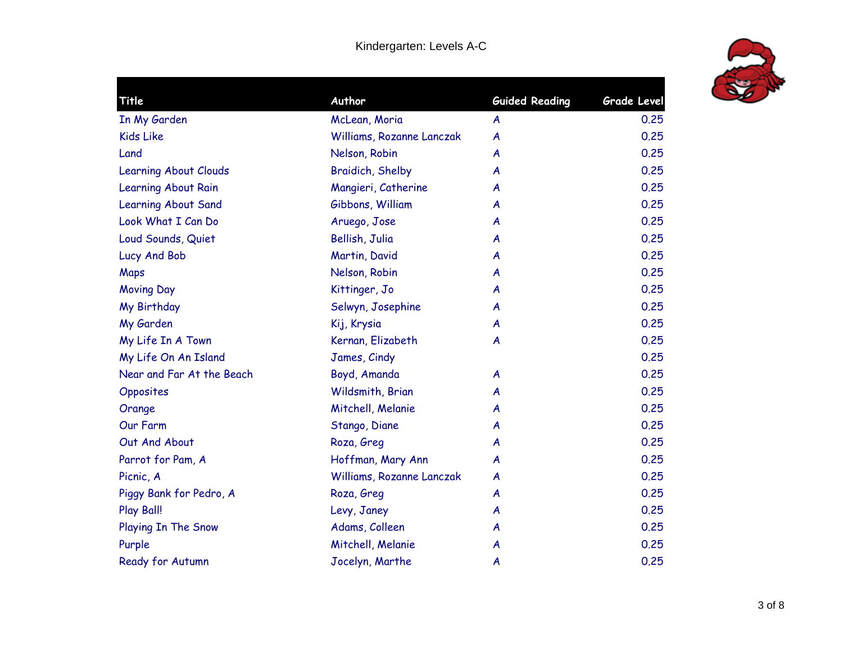

| Title                        | Author                    | <b>Guided Reading</b> | <b>Grade Level</b> |
|------------------------------|---------------------------|-----------------------|--------------------|
| In My Garden                 | McLean, Moria             | A                     | 0.25               |
| <b>Kids Like</b>             | Williams, Rozanne Lanczak | A                     | 0.25               |
| Land                         | Nelson, Robin             | A                     | 0.25               |
| <b>Learning About Clouds</b> | Braidich, Shelby          | A                     | 0.25               |
| Learning About Rain          | Mangieri, Catherine       | A                     | 0.25               |
| Learning About Sand          | Gibbons, William          | A                     | 0.25               |
| Look What I Can Do           | Aruego, Jose              | A                     | 0.25               |
| Loud Sounds, Quiet           | Bellish, Julia            | A                     | 0.25               |
| Lucy And Bob                 | Martin, David             | A                     | 0.25               |
| Maps                         | Nelson, Robin             | A                     | 0.25               |
| <b>Moving Day</b>            | Kittinger, Jo             | A                     | 0.25               |
| My Birthday                  | Selwyn, Josephine         | A                     | 0.25               |
| My Garden                    | Kij, Krysia               | A                     | 0.25               |
| My Life In A Town            | Kernan, Elizabeth         | A                     | 0.25               |
| My Life On An Island         | James, Cindy              |                       | 0.25               |
| Near and Far At the Beach    | Boyd, Amanda              | A                     | 0.25               |
| Opposites                    | Wildsmith, Brian          | A                     | 0.25               |
| Orange                       | Mitchell, Melanie         | A                     | 0.25               |
| Our Farm                     | Stango, Diane             | A                     | 0.25               |
| Out And About                | Roza, Greg                | A                     | 0.25               |
| Parrot for Pam, A            | Hoffman, Mary Ann         | A                     | 0.25               |
| Picnic, A                    | Williams, Rozanne Lanczak | A                     | 0.25               |
| Piggy Bank for Pedro, A      | Roza, Greg                | A                     | 0.25               |
| Play Ball!                   | Levy, Janey               | A                     | 0.25               |
| Playing In The Snow          | Adams, Colleen            | A                     | 0.25               |
| Purple                       | Mitchell, Melanie         | A                     | 0.25               |
| Ready for Autumn             | Jocelyn, Marthe           | A                     | 0.25               |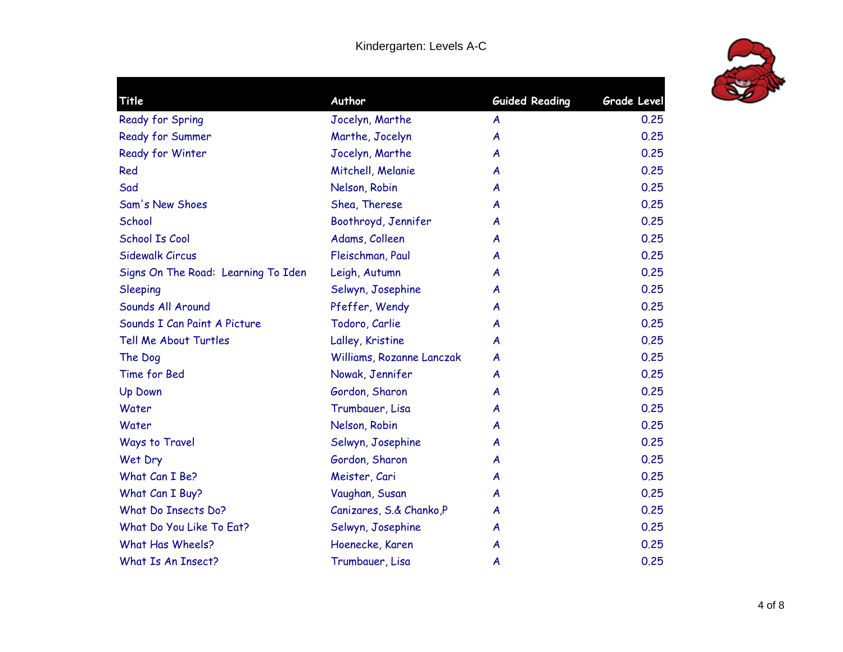

| Title                               | Author                    | <b>Guided Reading</b> | Grade Level |
|-------------------------------------|---------------------------|-----------------------|-------------|
| Ready for Spring                    | Jocelyn, Marthe           | A                     | 0.25        |
| Ready for Summer                    | Marthe, Jocelyn           | A                     | 0.25        |
| Ready for Winter                    | Jocelyn, Marthe           | A                     | 0.25        |
| Red                                 | Mitchell, Melanie         | A                     | 0.25        |
| Sad                                 | Nelson, Robin             | A                     | 0.25        |
| Sam's New Shoes                     | Shea, Therese             | A                     | 0.25        |
| School                              | Boothroyd, Jennifer       | A                     | 0.25        |
| <b>School Is Cool</b>               | Adams, Colleen            | A                     | 0.25        |
| Sidewalk Circus                     | Fleischman, Paul          | A                     | 0.25        |
| Signs On The Road: Learning To Iden | Leigh, Autumn             | A                     | 0.25        |
| Sleeping                            | Selwyn, Josephine         | A                     | 0.25        |
| Sounds All Around                   | Pfeffer, Wendy            | A                     | 0.25        |
| Sounds I Can Paint A Picture        | Todoro, Carlie            | A                     | 0.25        |
| Tell Me About Turtles               | Lalley, Kristine          | A                     | 0.25        |
| The Dog                             | Williams, Rozanne Lanczak | A                     | 0.25        |
| Time for Bed                        | Nowak, Jennifer           | A                     | 0.25        |
| <b>Up Down</b>                      | Gordon, Sharon            | A                     | 0.25        |
| Water                               | Trumbauer, Lisa           | A                     | 0.25        |
| Water                               | Nelson, Robin             | A                     | 0.25        |
| Ways to Travel                      | Selwyn, Josephine         | A                     | 0.25        |
| Wet Dry                             | Gordon, Sharon            | A                     | 0.25        |
| What Can I Be?                      | Meister, Cari             | A                     | 0.25        |
| What Can I Buy?                     | Vaughan, Susan            | A                     | 0.25        |
| What Do Insects Do?                 | Canizares, S.& Chanko, P  | A                     | 0.25        |
| What Do You Like To Eat?            | Selwyn, Josephine         | A                     | 0.25        |
| What Has Wheels?                    | Hoenecke, Karen           | A                     | 0.25        |
| What Is An Insect?                  | Trumbauer, Lisa           | A                     | 0.25        |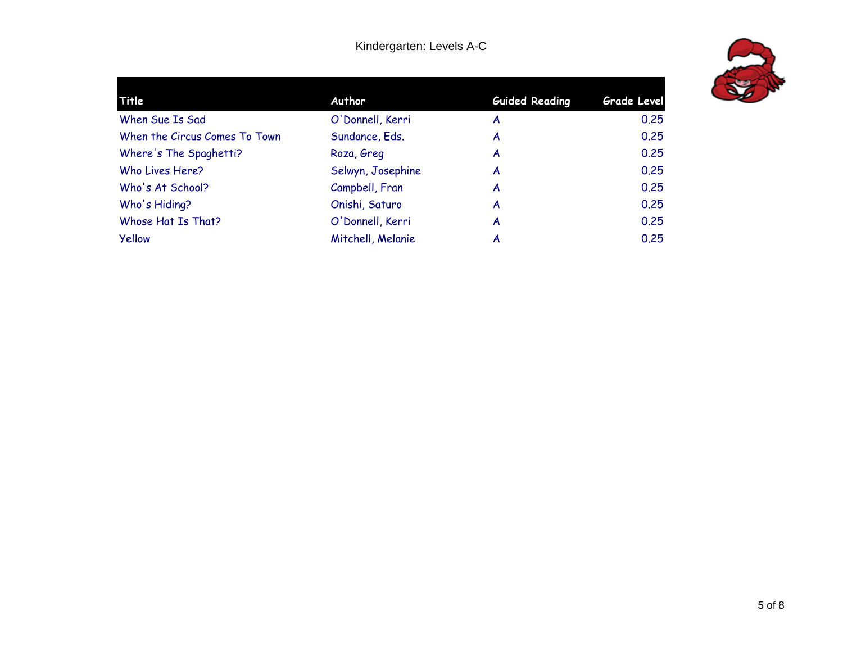| Title                         | Author            | <b>Guided Reading</b> | <b>Grade Level</b> |
|-------------------------------|-------------------|-----------------------|--------------------|
| When Sue Is Sad               | O'Donnell, Kerri  | A                     | 0.25               |
| When the Circus Comes To Town | Sundance, Eds.    | A                     | 0.25               |
| Where's The Spaghetti?        | Roza, Greg        | A                     | 0.25               |
| Who Lives Here?               | Selwyn, Josephine | A                     | 0.25               |
| Who's At School?              | Campbell, Fran    | A                     | 0.25               |
| Who's Hiding?                 | Onishi, Saturo    | A                     | 0.25               |
| Whose Hat Is That?            | O'Donnell, Kerri  | A                     | 0.25               |
| Yellow                        | Mitchell, Melanie | A                     | 0.25               |
|                               |                   |                       |                    |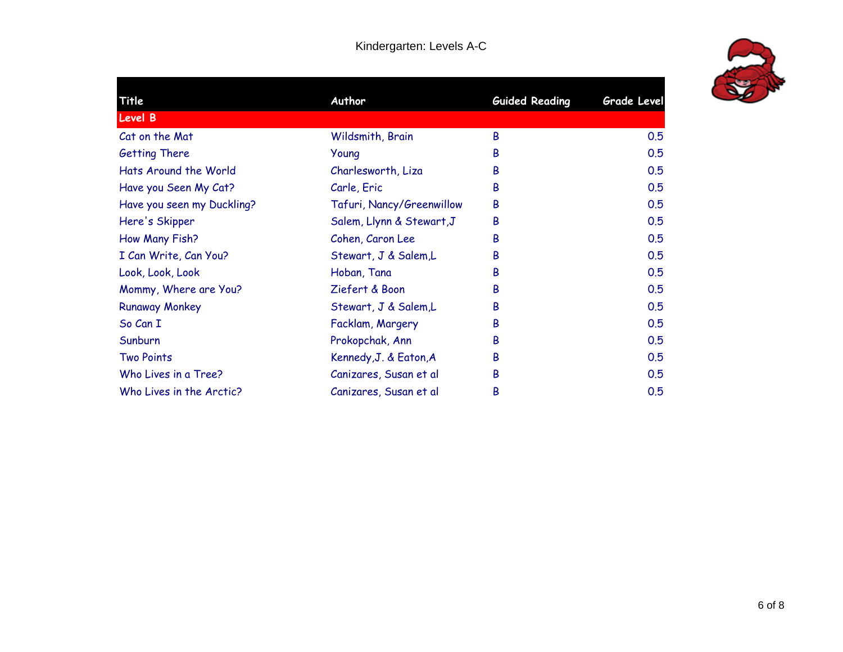| Title                      | Author                    | <b>Guided Reading</b> | Grade Level |
|----------------------------|---------------------------|-----------------------|-------------|
| <b>Level B</b>             |                           |                       |             |
| Cat on the Mat             | Wildsmith, Brain          | B                     | 0.5         |
| <b>Getting There</b>       | Young                     | В                     | 0.5         |
| Hats Around the World      | Charlesworth, Liza        | B                     | 0.5         |
| Have you Seen My Cat?      | Carle, Eric               | B                     | 0.5         |
| Have you seen my Duckling? | Tafuri, Nancy/Greenwillow | B                     | 0.5         |
| Here's Skipper             | Salem, Llynn & Stewart, J | B                     | 0.5         |
| How Many Fish?             | Cohen, Caron Lee          | B                     | 0.5         |
| I Can Write, Can You?      | Stewart, J & Salem,L      | B                     | 0.5         |
| Look, Look, Look           | Hoban, Tana               | B                     | 0.5         |
| Mommy, Where are You?      | Ziefert & Boon            | B                     | 0.5         |
| <b>Runaway Monkey</b>      | Stewart, J & Salem,L      | B                     | 0.5         |
| So Can I                   | Facklam, Margery          | B                     | 0.5         |
| Sunburn                    | Prokopchak, Ann           | В                     | 0.5         |
| <b>Two Points</b>          | Kennedy, J. & Eaton, A    | B                     | 0.5         |
| Who Lives in a Tree?       | Canizares, Susan et al    | B                     | 0.5         |
| Who Lives in the Arctic?   | Canizares, Susan et al    | B                     | 0.5         |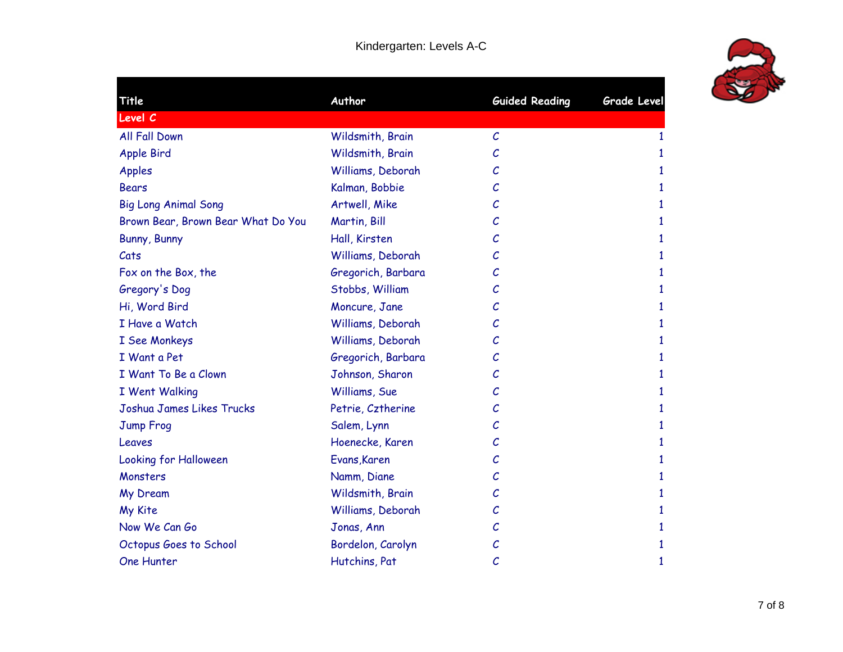

| Title                              | Author             | <b>Guided Reading</b> | Grade Level |
|------------------------------------|--------------------|-----------------------|-------------|
| Level C                            |                    |                       |             |
| All Fall Down                      | Wildsmith, Brain   | $\mathcal{C}_{0}$     | 1           |
| <b>Apple Bird</b>                  | Wildsmith, Brain   | $\mathcal{C}_{0}$     | 1           |
| <b>Apples</b>                      | Williams, Deborah  | С                     | 1           |
| <b>Bears</b>                       | Kalman, Bobbie     | С                     | 1           |
| <b>Big Long Animal Song</b>        | Artwell, Mike      | С                     | 1           |
| Brown Bear, Brown Bear What Do You | Martin, Bill       | $\mathcal{C}_{0}$     | 1           |
| Bunny, Bunny                       | Hall, Kirsten      | $\mathcal{C}_{0}$     | 1           |
| Cats                               | Williams, Deborah  | С                     | 1           |
| Fox on the Box, the                | Gregorich, Barbara | С                     | 1           |
| Gregory's Dog                      | Stobbs, William    | $\mathcal{C}_{0}$     | 1           |
| Hi, Word Bird                      | Moncure, Jane      | С                     | 1           |
| I Have a Watch                     | Williams, Deborah  | С                     | 1           |
| I See Monkeys                      | Williams, Deborah  | С                     | 1           |
| I Want a Pet                       | Gregorich, Barbara | С                     | 1           |
| I Want To Be a Clown               | Johnson, Sharon    | С                     | 1           |
| I Went Walking                     | Williams, Sue      | С                     | 1           |
| Joshua James Likes Trucks          | Petrie, Cztherine  | С                     | 1           |
| Jump Froq                          | Salem, Lynn        | С                     | 1           |
| Leaves                             | Hoenecke, Karen    | С                     | 1           |
| <b>Looking for Halloween</b>       | Evans, Karen       | С                     | 1           |
| Monsters                           | Namm, Diane        | $\mathcal{C}_{0}$     | 1           |
| My Dream                           | Wildsmith, Brain   | С                     | 1           |
| My Kite                            | Williams, Deborah  | С                     | 1           |
| Now We Can Go                      | Jonas, Ann         | С                     | 1           |
| Octopus Goes to School             | Bordelon, Carolyn  | С                     | 1           |
| One Hunter                         | Hutchins, Pat      | $\mathcal{C}_{0}$     | 1           |